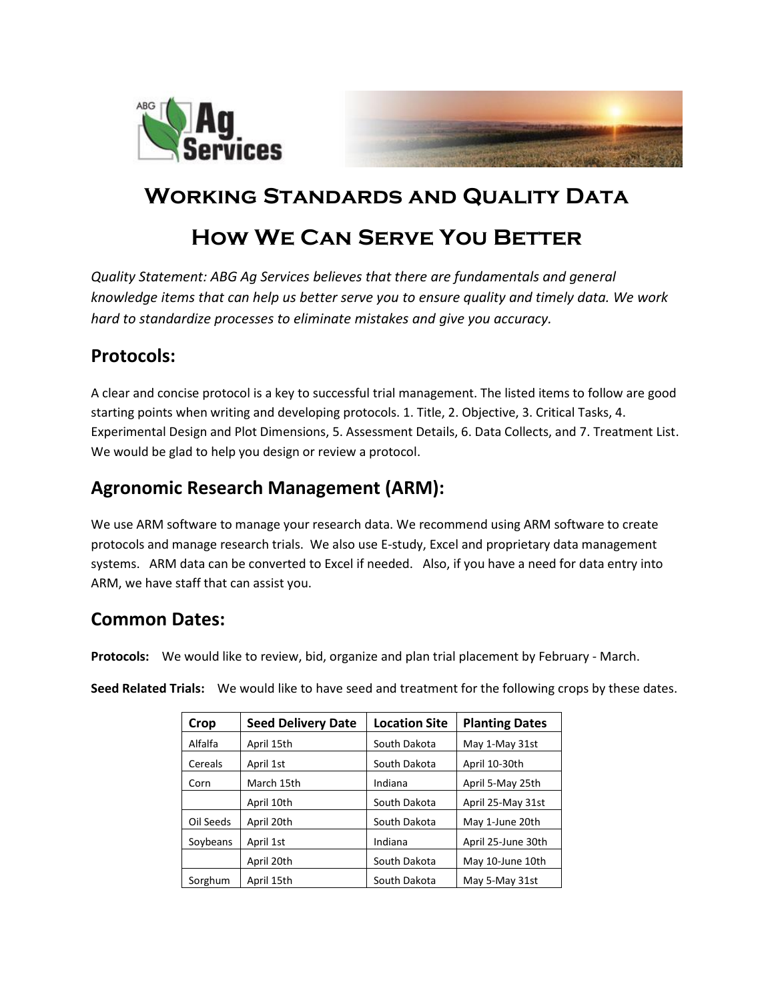



# **Working Standards and Quality Data**

# **How We Can Serve You Better**

*Quality Statement: ABG Ag Services believes that there are fundamentals and general knowledge items that can help us better serve you to ensure quality and timely data. We work hard to standardize processes to eliminate mistakes and give you accuracy.* 

### **Protocols:**

A clear and concise protocol is a key to successful trial management. The listed items to follow are good starting points when writing and developing protocols. 1. Title, 2. Objective, 3. Critical Tasks, 4. Experimental Design and Plot Dimensions, 5. Assessment Details, 6. Data Collects, and 7. Treatment List. We would be glad to help you design or review a protocol.

## **Agronomic Research Management (ARM):**

We use ARM software to manage your research data. We recommend using ARM software to create protocols and manage research trials. We also use E-study, Excel and proprietary data management systems. ARM data can be converted to Excel if needed. Also, if you have a need for data entry into ARM, we have staff that can assist you.

# **Common Dates:**

**Protocols:** We would like to review, bid, organize and plan trial placement by February - March.

**Seed Related Trials:** We would like to have seed and treatment for the following crops by these dates.

| Crop      | <b>Seed Delivery Date</b> | <b>Location Site</b> | <b>Planting Dates</b> |
|-----------|---------------------------|----------------------|-----------------------|
| Alfalfa   | April 15th                | South Dakota         | May 1-May 31st        |
| Cereals   | April 1st                 | South Dakota         | April 10-30th         |
| Corn      | March 15th                | Indiana              | April 5-May 25th      |
|           | April 10th                | South Dakota         | April 25-May 31st     |
| Oil Seeds | April 20th                | South Dakota         | May 1-June 20th       |
| Soybeans  | April 1st                 | Indiana              | April 25-June 30th    |
|           | April 20th                | South Dakota         | May 10-June 10th      |
| Sorghum   | April 15th                | South Dakota         | May 5-May 31st        |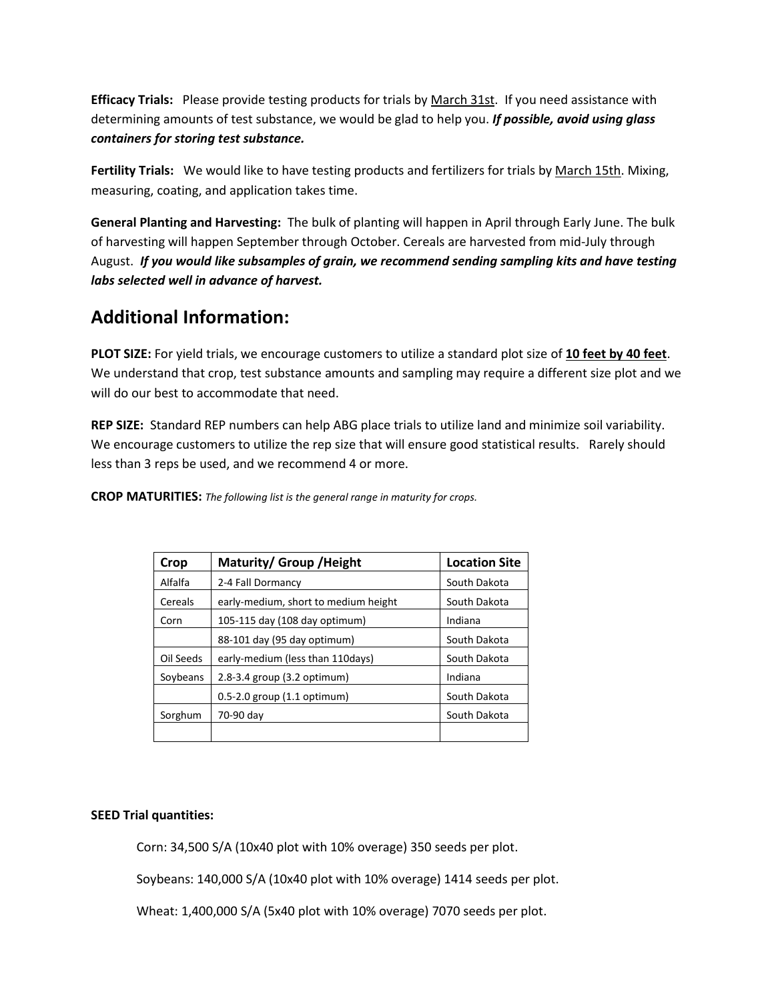**Efficacy Trials:** Please provide testing products for trials by March 31st. If you need assistance with determining amounts of test substance, we would be glad to help you. *If possible, avoid using glass containers for storing test substance.*

**Fertility Trials:** We would like to have testing products and fertilizers for trials by March 15th. Mixing, measuring, coating, and application takes time.

**General Planting and Harvesting:** The bulk of planting will happen in April through Early June. The bulk of harvesting will happen September through October. Cereals are harvested from mid-July through August. *If you would like subsamples of grain, we recommend sending sampling kits and have testing labs selected well in advance of harvest.*

### **Additional Information:**

PLOT SIZE: For yield trials, we encourage customers to utilize a standard plot size of 10 feet by 40 feet. We understand that crop, test substance amounts and sampling may require a different size plot and we will do our best to accommodate that need.

**REP SIZE:** Standard REP numbers can help ABG place trials to utilize land and minimize soil variability. We encourage customers to utilize the rep size that will ensure good statistical results. Rarely should less than 3 reps be used, and we recommend 4 or more.

| Crop      | Maturity/ Group / Height             | <b>Location Site</b> |
|-----------|--------------------------------------|----------------------|
| Alfalfa   | 2-4 Fall Dormancy                    | South Dakota         |
| Cereals   | early-medium, short to medium height | South Dakota         |
| Corn      | 105-115 day (108 day optimum)        | Indiana              |
|           | 88-101 day (95 day optimum)          | South Dakota         |
| Oil Seeds | early-medium (less than 110 days)    | South Dakota         |
| Soybeans  | 2.8-3.4 group (3.2 optimum)          | Indiana              |
|           | $0.5 - 2.0$ group $(1.1$ optimum)    | South Dakota         |
| Sorghum   | 70-90 day                            | South Dakota         |
|           |                                      |                      |

**CROP MATURITIES:** *The following list is the general range in maturity for crops.*

### **SEED Trial quantities:**

Corn: 34,500 S/A (10x40 plot with 10% overage) 350 seeds per plot.

Soybeans: 140,000 S/A (10x40 plot with 10% overage) 1414 seeds per plot.

Wheat: 1,400,000 S/A (5x40 plot with 10% overage) 7070 seeds per plot.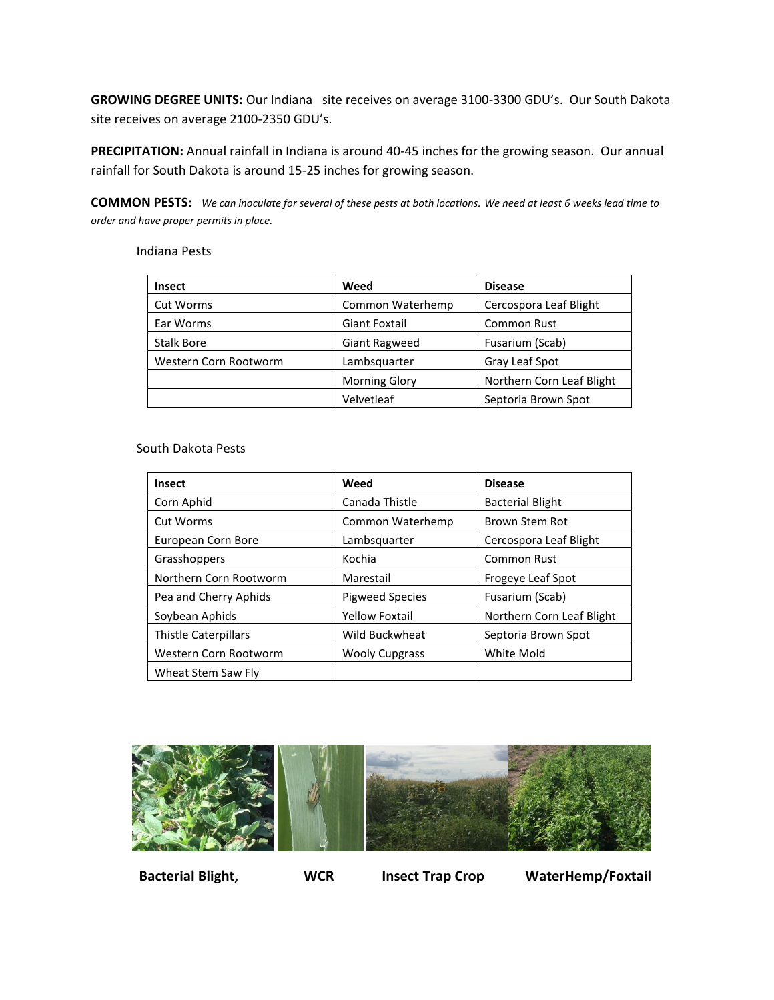**GROWING DEGREE UNITS:** Our Indiana site receives on average 3100-3300 GDU's. Our South Dakota site receives on average 2100-2350 GDU's.

**PRECIPITATION:** Annual rainfall in Indiana is around 40-45 inches for the growing season. Our annual rainfall for South Dakota is around 15-25 inches for growing season.

**COMMON PESTS:** *We can inoculate for several of these pests at both locations. We need at least 6 weeks lead time to order and have proper permits in place.*

#### Indiana Pests

| <b>Insect</b>         | Weed                 | <b>Disease</b>            |
|-----------------------|----------------------|---------------------------|
| <b>Cut Worms</b>      | Common Waterhemp     | Cercospora Leaf Blight    |
| Ear Worms             | <b>Giant Foxtail</b> | <b>Common Rust</b>        |
| <b>Stalk Bore</b>     | <b>Giant Ragweed</b> | Fusarium (Scab)           |
| Western Corn Rootworm | Lambsquarter         | Gray Leaf Spot            |
|                       | <b>Morning Glory</b> | Northern Corn Leaf Blight |
|                       | Velvetleaf           | Septoria Brown Spot       |

#### South Dakota Pests

| <b>Insect</b>               | Weed                   | <b>Disease</b>            |
|-----------------------------|------------------------|---------------------------|
| Corn Aphid                  | Canada Thistle         | <b>Bacterial Blight</b>   |
| Cut Worms                   | Common Waterhemp       | <b>Brown Stem Rot</b>     |
| European Corn Bore          | Lambsquarter           | Cercospora Leaf Blight    |
| Grasshoppers                | Kochia                 | <b>Common Rust</b>        |
| Northern Corn Rootworm      | Marestail              | Frogeye Leaf Spot         |
| Pea and Cherry Aphids       | <b>Pigweed Species</b> | Fusarium (Scab)           |
| Soybean Aphids              | <b>Yellow Foxtail</b>  | Northern Corn Leaf Blight |
| <b>Thistle Caterpillars</b> | Wild Buckwheat         | Septoria Brown Spot       |
| Western Corn Rootworm       | <b>Wooly Cupgrass</b>  | <b>White Mold</b>         |
| Wheat Stem Saw Fly          |                        |                           |



 **Bacterial Blight, WCR Insect Trap Crop WaterHemp/Foxtail**